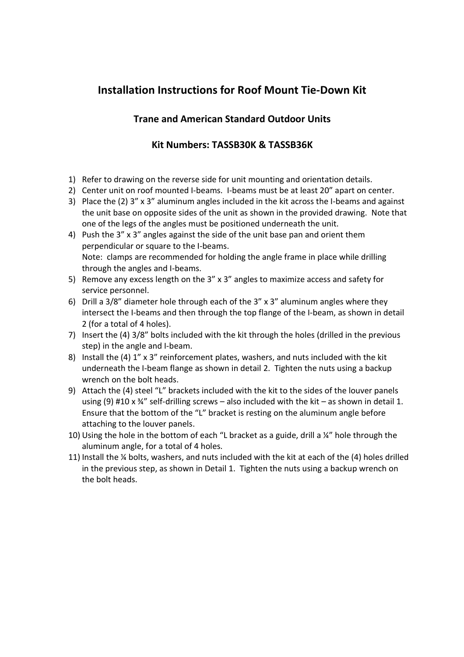## **Installation Instructions for Roof Mount Tie-Down Kit**

## **Trane and American Standard Outdoor Units**

## **Kit Numbers: TASSB30K & TASSB36K**

- 1) Refer to drawing on the reverse side for unit mounting and orientation details.
- 2) Center unit on roof mounted I-beams. I-beams must be at least 20" apart on center.
- 3) Place the (2) 3" x 3" aluminum angles included in the kit across the I-beams and against the unit base on opposite sides of the unit as shown in the provided drawing. Note that one of the legs of the angles must be positioned underneath the unit.
- 4) Push the 3" x 3" angles against the side of the unit base pan and orient them perpendicular or square to the I-beams. Note: clamps are recommended for holding the angle frame in place while drilling through the angles and I-beams.
- 5) Remove any excess length on the 3" x 3" angles to maximize access and safety for service personnel.
- 6) Drill a 3/8" diameter hole through each of the 3" x 3" aluminum angles where they intersect the I-beams and then through the top flange of the I-beam, as shown in detail 2 (for a total of 4 holes).
- 7) Insert the (4) 3/8" bolts included with the kit through the holes (drilled in the previous step) in the angle and I-beam.
- 8) Install the (4) 1" x 3" reinforcement plates, washers, and nuts included with the kit underneath the I-beam flange as shown in detail 2. Tighten the nuts using a backup wrench on the bolt heads.
- 9) Attach the (4) steel "L" brackets included with the kit to the sides of the louver panels using (9) #10 x  $\frac{3}{4}$ " self-drilling screws – also included with the kit – as shown in detail 1. Ensure that the bottom of the "L" bracket is resting on the aluminum angle before attaching to the louver panels.
- 10) Using the hole in the bottom of each "L bracket as a guide, drill a ¼" hole through the aluminum angle, for a total of 4 holes.
- 11) Install the ¼ bolts, washers, and nuts included with the kit at each of the (4) holes drilled in the previous step, as shown in Detail 1. Tighten the nuts using a backup wrench on the bolt heads.